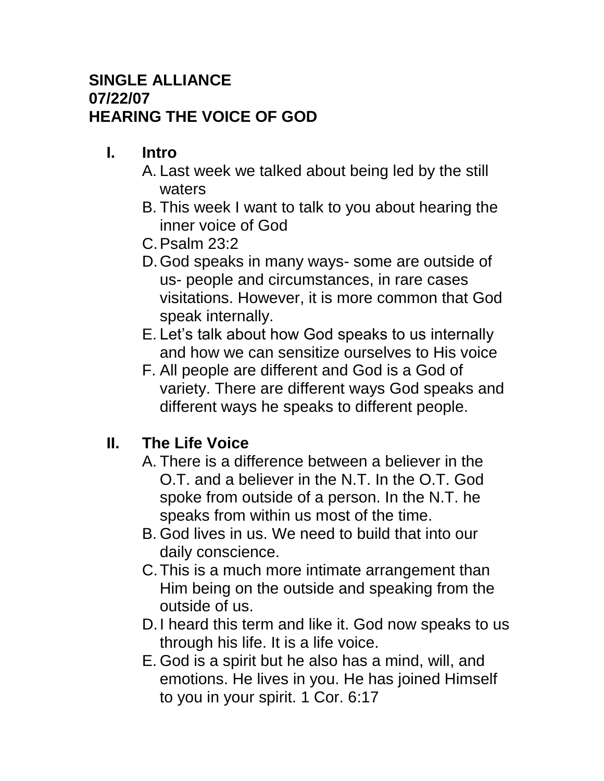#### **SINGLE ALLIANCE 07/22/07 HEARING THE VOICE OF GOD**

## **I. Intro**

- A. Last week we talked about being led by the still waters
- B. This week I want to talk to you about hearing the inner voice of God
- C.Psalm 23:2
- D.God speaks in many ways- some are outside of us- people and circumstances, in rare cases visitations. However, it is more common that God speak internally.
- E. Let's talk about how God speaks to us internally and how we can sensitize ourselves to His voice
- F. All people are different and God is a God of variety. There are different ways God speaks and different ways he speaks to different people.

## **II. The Life Voice**

- A. There is a difference between a believer in the O.T. and a believer in the N.T. In the O.T. God spoke from outside of a person. In the N.T. he speaks from within us most of the time.
- B. God lives in us. We need to build that into our daily conscience.
- C.This is a much more intimate arrangement than Him being on the outside and speaking from the outside of us.
- D.I heard this term and like it. God now speaks to us through his life. It is a life voice.
- E. God is a spirit but he also has a mind, will, and emotions. He lives in you. He has joined Himself to you in your spirit. 1 Cor. 6:17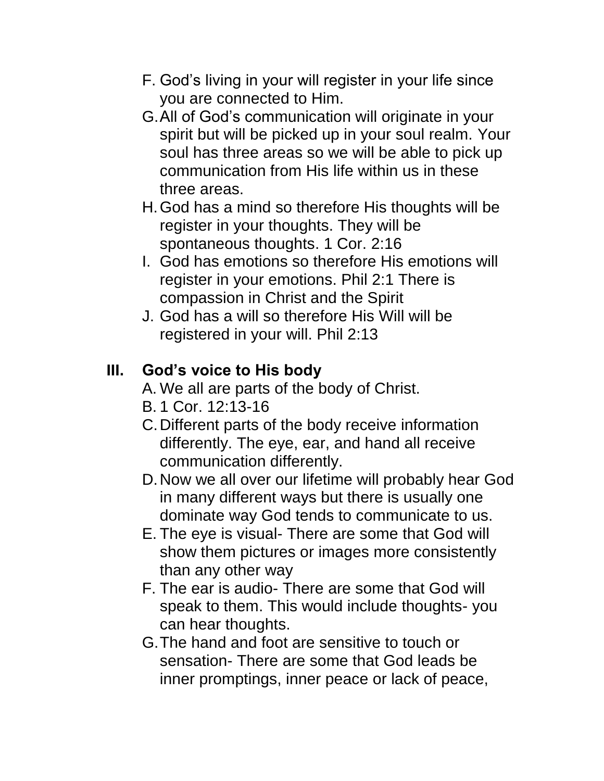- F. God's living in your will register in your life since you are connected to Him.
- G.All of God's communication will originate in your spirit but will be picked up in your soul realm. Your soul has three areas so we will be able to pick up communication from His life within us in these three areas.
- H.God has a mind so therefore His thoughts will be register in your thoughts. They will be spontaneous thoughts. 1 Cor. 2:16
- I. God has emotions so therefore His emotions will register in your emotions. Phil 2:1 There is compassion in Christ and the Spirit
- J. God has a will so therefore His Will will be registered in your will. Phil 2:13

# **III. God's voice to His body**

- A. We all are parts of the body of Christ.
- B. 1 Cor. 12:13-16
- C.Different parts of the body receive information differently. The eye, ear, and hand all receive communication differently.
- D.Now we all over our lifetime will probably hear God in many different ways but there is usually one dominate way God tends to communicate to us.
- E. The eye is visual- There are some that God will show them pictures or images more consistently than any other way
- F. The ear is audio- There are some that God will speak to them. This would include thoughts- you can hear thoughts.
- G.The hand and foot are sensitive to touch or sensation- There are some that God leads be inner promptings, inner peace or lack of peace,